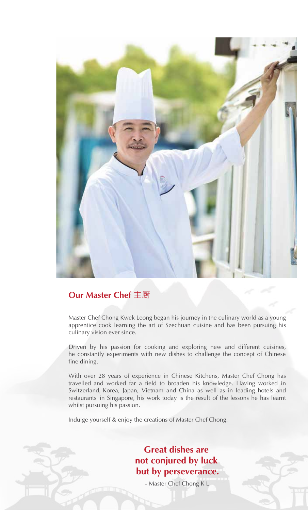

#### **Our Master Chef** 主厨

Master Chef Chong Kwek Leong began his journey in the culinary world as a young apprentice cook learning the art of Szechuan cuisine and has been pursuing his culinary vision ever since.

Driven by his passion for cooking and exploring new and different cuisines, he constantly experiments with new dishes to challenge the concept of Chinese fine dining.

With over 28 years of experience in Chinese Kitchens, Master Chef Chong has travelled and worked far a field to broaden his knowledge. Having worked in Switzerland, Korea, Japan, Vietnam and China as well as in leading hotels and restaurants in Singapore, his work today is the result of the lessons he has learnt whilst pursuing his passion.

Indulge yourself & enjoy the creations of Master Chef Chong.

#### **Great dishes are not conjured by luck but by perseverance.**

- Master Chef Chong K L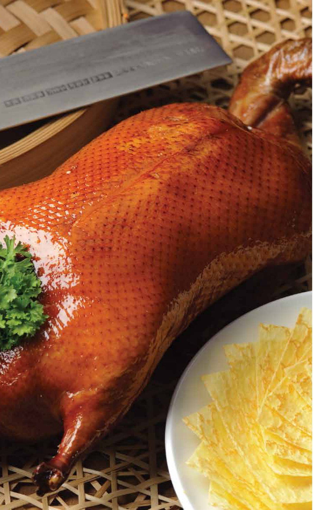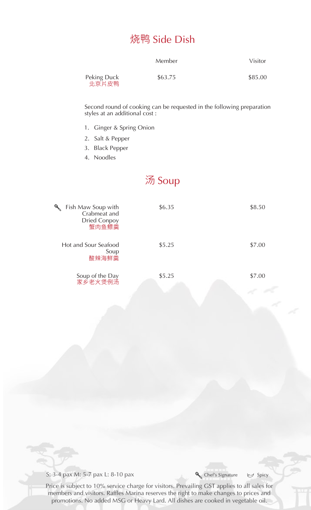#### 烧鸭 Side Dish

|                      | Member  | Visitor |
|----------------------|---------|---------|
| Peking Duck<br>北京片皮鸭 | \$63.75 | \$85.00 |

Second round of cooking can be requested in the following preparation styles at an additional cost :

- 1. Ginger & Spring Onion
- 2. Salt & Pepper
- 3. Black Pepper
- 4. Noodles

#### 汤 Soup

| ৎ<br>Fish Maw Soup with<br>Crabmeat and<br><b>Dried Conpoy</b><br>蟹肉鱼鳔羹 | \$6.35 | \$8.50 |
|-------------------------------------------------------------------------|--------|--------|
| Hot and Sour Seafood<br>Soup<br>酸辣海鲜羹                                   | \$5.25 | \$7.00 |
| Soup of the Day<br>家乡老火煲例汤                                              | \$5.25 | \$7.00 |

S: 3-4 pax M: 5-7 pax L: 8-10 pax

Chef's Signature

 $\bowtie$  Spicy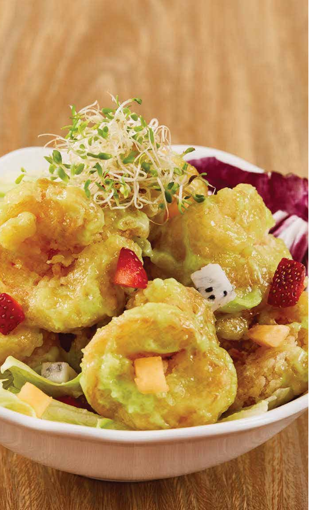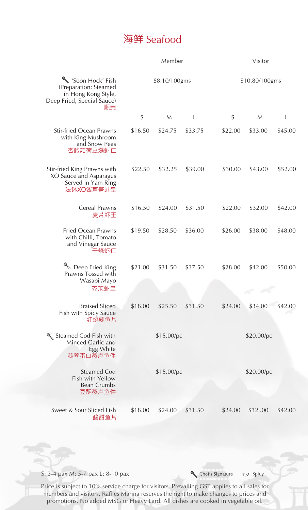#### 海鲜 Seafood

|                                                                                                     | Member  |               |         |         | Visitor        |         |  |
|-----------------------------------------------------------------------------------------------------|---------|---------------|---------|---------|----------------|---------|--|
| Soon Hock' Fish<br>(Preparation: Steamed<br>in Hong Kong Style,<br>Deep Fried, Special Sauce)<br>顺壳 |         | \$8.10/100gms |         |         | \$10.80/100gms |         |  |
|                                                                                                     | S       | $\mathsf{M}$  | L       | S       | M              | L       |  |
| <b>Stir-fried Ocean Prawns</b><br>with King Mushroom<br>and Snow Peas<br>杏鲍菇荷豆爆虾仁                   | \$16.50 | \$24.75       | \$33.75 | \$22.00 | \$33.00        | \$45.00 |  |
| Stir-fried King Prawns with<br>XO Sauce and Asparagus<br>Served in Yam Ring<br>法钵XO酱芦笋虾皇            | \$22.50 | \$32.25       | \$39.00 | \$30.00 | \$43.00        | \$52.00 |  |
| <b>Cereal Prawns</b><br>麦片虾王                                                                        | \$16.50 | \$24.00       | \$31.50 | \$22.00 | \$32.00        | \$42.00 |  |
| Fried Ocean Prawns<br>with Chilli, Tomato<br>and Vinegar Sauce<br>干烧虾仁                              | \$19.50 | \$28.50       | \$36.00 | \$26.00 | \$38.00        | \$48.00 |  |
| ► Deep Fried King<br>Prawns Tossed with<br>Wasabi Mayo<br>芥茉虾皇                                      | \$21.00 | \$31.50       | \$37.50 | \$28.00 | \$42.00        | \$50.00 |  |
| <b>Braised Sliced</b><br>Fish with Spicy Sauce<br>红烧辣鱼片                                             | \$18.00 | \$25.50       | \$31.50 | \$24.00 | \$34.00        | \$42.00 |  |
| Steamed Cod Fish with<br>Minced Garlic and<br>Egg White<br>蒜蓉蛋白蒸卢鱼件                                 |         | \$15.00/pc    |         |         | \$20.00/pc     |         |  |
| <b>Steamed Cod</b><br>Fish with Yellow<br><b>Bean Crumbs</b><br>豆酥蒸卢鱼件                              |         | \$15.00/pc    |         |         | \$20.00/pc     |         |  |
| Sweet & Sour Sliced Fish<br>酸甜鱼片                                                                    | \$18.00 | \$24.00       | \$31.50 | \$24.00 | \$32.00        | \$42.00 |  |

S: 3-4 pax M: 5-7 pax L: 8-10 pax

Chef's Signature

Spicy Spicy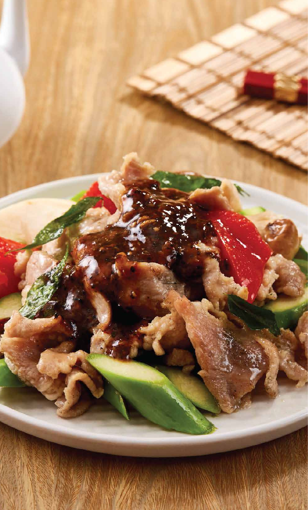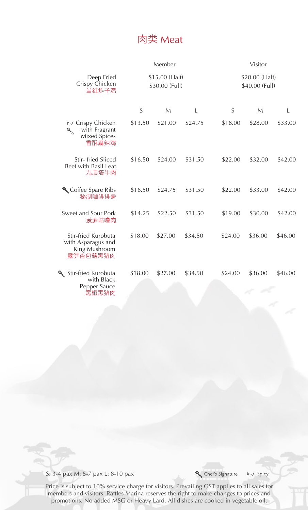## 肉类 Meat

|                                                                        |         | Member                            |         |         | Visitor                          |         |  |
|------------------------------------------------------------------------|---------|-----------------------------------|---------|---------|----------------------------------|---------|--|
| Deep Fried<br>Crispy Chicken<br>当红炸子鸡                                  |         | $$15.00$ (Half)<br>\$30.00 (Full) |         |         | \$20.00 (Half)<br>\$40.00 (Full) |         |  |
|                                                                        | S       | M                                 | L       | S       | $\mathcal M$                     | L       |  |
| Crispy Chicken<br>←<br>with Fragrant<br><b>Mixed Spices</b><br>香酥麻辣鸡   | \$13.50 | \$21.00                           | \$24.75 | \$18.00 | \$28.00                          | \$33.00 |  |
| Stir-fried Sliced<br>Beef with Basil Leaf<br>九层塔牛肉                     | \$16.50 | \$24.00                           | \$31.50 | \$22.00 | \$32.00                          | \$42.00 |  |
| Coffee Spare Ribs<br>秘制咖啡排骨                                            | \$16.50 | \$24.75                           | \$31.50 | \$22.00 | \$33.00                          | \$42.00 |  |
| Sweet and Sour Pork<br>菠萝咕噜肉                                           | \$14.25 | \$22.50                           | \$31.50 | \$19.00 | \$30.00                          | \$42.00 |  |
| Stir-fried Kurobuta<br>with Asparagus and<br>King Mushroom<br>露笋杏包菇黑猪肉 | \$18.00 | \$27.00                           | \$34.50 | \$24.00 | \$36.00                          | \$46.00 |  |
| Stir-fried Kurobuta<br>with Black<br>Pepper Sauce<br>黑椒黑猪肉             | \$18.00 | \$27.00                           | \$34.50 | \$24.00 | \$36.00                          | \$46.00 |  |

S: 3-4 pax M: 5-7 pax L: 8-10 pax

Chef's Signature

Spicy Spicy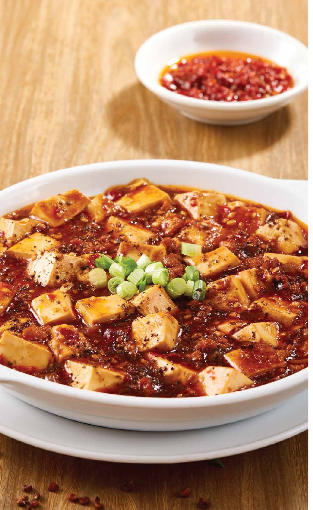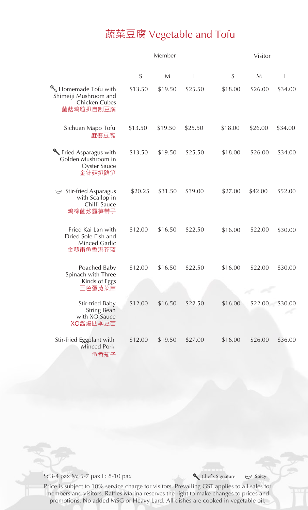# 蔬菜豆腐 Vegetable and Tofu

|                                                                                      |         | Member  |         |         | Visitor |         |
|--------------------------------------------------------------------------------------|---------|---------|---------|---------|---------|---------|
|                                                                                      | S       | M       | L       | S       | M       | L       |
| Homemade Tofu with<br>Shimeiji Mushroom and<br>Chicken Cubes<br>菌菇鸡粒扒自制豆腐            | \$13.50 | \$19.50 | \$25.50 | \$18.00 | \$26.00 | \$34.00 |
| Sichuan Mapo Tofu<br>麻婆豆腐                                                            | \$13.50 | \$19.50 | \$25.50 | \$18.00 | \$26.00 | \$34.00 |
| Fried Asparagus with<br>Golden Mushroom in<br><b>Oyster Sauce</b><br>金针菇扒路笋          | \$13.50 | \$19.50 | \$25.50 | \$18.00 | \$26.00 | \$34.00 |
| $\triangleright$ Stir-fried Asparagus<br>with Scallop in<br>Chilli Sauce<br>鸡棕菌炒露笋带子 | \$20.25 | \$31.50 | \$39.00 | \$27.00 | \$42.00 | \$52.00 |
| Fried Kai Lan with<br>Dried Sole Fish and<br>Minced Garlic<br>金蒜甫鱼香港芥蓝               | \$12.00 | \$16.50 | \$22.50 | \$16.00 | \$22.00 | \$30.00 |
| Poached Baby<br>Spinach with Three<br>Kinds of Eggs<br>三色蛋苋菜苗                        | \$12.00 | \$16.50 | \$22.50 | \$16.00 | \$22.00 | \$30.00 |
| Stir-fried Baby<br><b>String Bean</b><br>with XO Sauce<br>XO酱爆四季豆苗                   | \$12.00 | \$16.50 | \$22.50 | \$16.00 | \$22.00 | \$30.00 |
| Stir-fried Eggplant with<br>Minced Pork<br>鱼香茄子                                      | \$12.00 | \$19.50 | \$27.00 | \$16.00 | \$26.00 | \$36.00 |

S: 3-4 pax M: 5-7 pax L: 8-10 pax

Chef's Signature  $\bowtie$  Spicy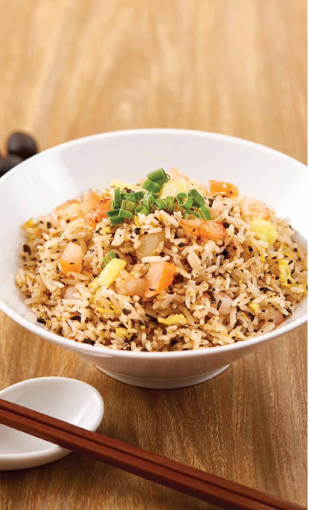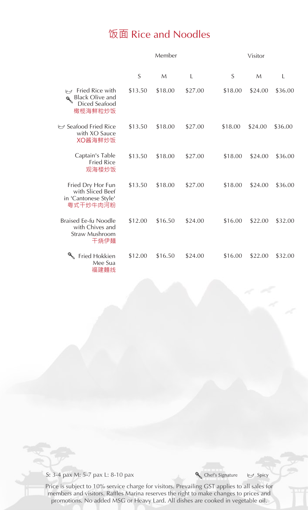## 饭面 Rice and Noodles

|                                                                           | Member  |              |         |         | Visitor |         |  |
|---------------------------------------------------------------------------|---------|--------------|---------|---------|---------|---------|--|
|                                                                           | S       | $\mathsf{M}$ | L       | S       | M       | L       |  |
| Fried Rice with<br><b>Black Olive and</b><br>Diced Seafood<br>橄榄海鲜粒炒饭     | \$13.50 | \$18.00      | \$27.00 | \$18.00 | \$24.00 | \$36.00 |  |
| $\bowtie$ Seafood Fried Rice<br>with XO Sauce<br>XO酱海鲜炒饭                  | \$13.50 | \$18.00      | \$27.00 | \$18.00 | \$24.00 | \$36.00 |  |
| Captain's Table<br><b>Fried Rice</b><br>观海楼炒饭                             | \$13.50 | \$18.00      | \$27.00 | \$18.00 | \$24.00 | \$36.00 |  |
| Fried Dry Hor Fun<br>with Sliced Beef<br>in 'Cantonese Style'<br>粤式干炒牛肉河粉 | \$13.50 | \$18.00      | \$27.00 | \$18.00 | \$24.00 | \$36.00 |  |
| <b>Braised Ee-fu Noodle</b><br>with Chives and<br>Straw Mushroom<br>干烧伊麺  | \$12.00 | \$16.50      | \$24.00 | \$16.00 | \$22.00 | \$32.00 |  |
| Fried Hokkien<br>Mee Sua<br>福建麵线                                          | \$12.00 | \$16.50      | \$24.00 | \$16.00 | \$22.00 | \$32.00 |  |

S: 3-4 pax M: 5-7 pax L: 8-10 pax

Chef's Signature Spicy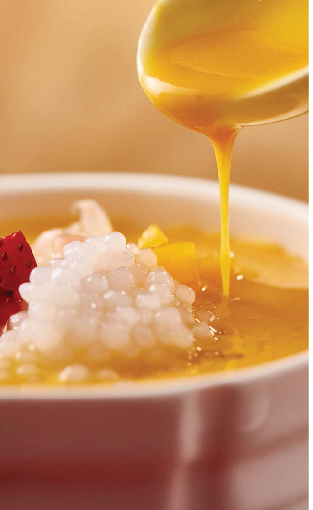